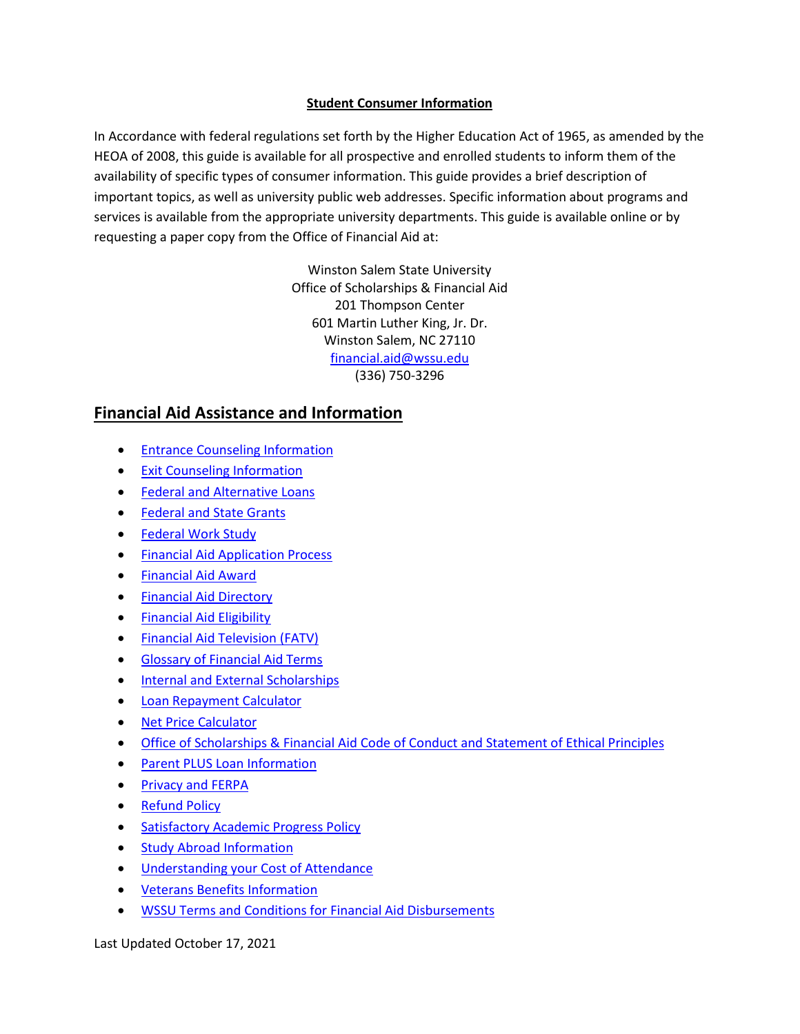#### **Student Consumer Information**

In Accordance with federal regulations set forth by the Higher Education Act of 1965, as amended by the HEOA of 2008, this guide is available for all prospective and enrolled students to inform them of the availability of specific types of consumer information. This guide provides a brief description of important topics, as well as university public web addresses. Specific information about programs and services is available from the appropriate university departments. This guide is available online or by requesting a paper copy from the Office of Financial Aid at:

> Winston Salem State University Office of Scholarships & Financial Aid 201 Thompson Center 601 Martin Luther King, Jr. Dr. Winston Salem, NC 27110 [financial.aid@wssu.edu](mailto:financial.aid@wssu.edu) (336) 750-3296

# **Financial Aid Assistance and Information**

- [Entrance Counseling Information](https://studentaid.gov/app/counselingInstructions.action?counselingType=entrance)
- [Exit Counseling Information](https://studentaid.gov/app/counselingInstructions.action?counselingType=exit)
- [Federal and Alternative Loans](https://www.wssu.edu/admissions/scholarships-and-financial-aid/types-of-financial-aid.html)
- [Federal and State Grants](https://www.wssu.edu/admissions/scholarships-and-financial-aid/types-of-financial-aid.html)
- [Federal Work Study](https://www.wssu.edu/student-life/career-development-services/student-employment/work-study-students/federal-work-study-program.html)
- [Financial Aid Application Process](https://www.wssu.edu/admissions/scholarships-and-financial-aid/applying-for-financial-aid.html)
- [Financial Aid Award](https://www.wssu.edu/admissions/scholarships-and-financial-aid/financial-aid-award.html)
- [Financial Aid Directory](https://www.wssu.edu/about/university-directory.html?type=dept&query=Financial%20Aid)
- [Financial Aid Eligibility](https://studentaid.ed.gov/sa/eligibility)
- [Financial Aid Television \(FATV\)](https://wssu.financialaidtv.com/)
- [Glossary of Financial Aid Terms](https://www.wssu.edu/admissions/scholarships-and-financial-aid/resources/glossary-of-terms.html)
- [Internal and External Scholarships](https://www.wssu.edu/admissions/scholarships-and-financial-aid/scholarships/)
- [Loan Repayment Calculator](https://studentloans.gov/myDirectLoan/mobile/repayment/repaymentEstimator.action)
- [Net Price Calculator](https://www.wssu.edu/net-price-calculator/npcalc.htm)
- [Office of Scholarships & Financial Aid](https://www.wssu.edu/admissions/scholarships-and-financial-aid/resources/_files/documents/statement-of-ethical-principals.pdf#search=statement%20of%20ethical%20principles) Code of Conduct and Statement of Ethical Principles
- [Parent PLUS Loan Information](https://www.wssu.edu/admissions/scholarships-and-financial-aid/parents.html)
- [Privacy and FERPA](https://www.wssu.edu/admissions/registrar/privacy-of-student-information-ferpa.html)
- [Refund Policy](https://www.wssu.edu/about/offices-and-departments/legal-affairs/policies-and-procedures/chapter-300-undergraduate-and-graduate-students/301-general/301.10.html)
- [Satisfactory Academic Progress Policy](https://www.wssu.edu/about/offices-and-departments/legal-affairs/policies-and-procedures/chapter-300-undergraduate-and-graduate-students/301-general/301.14---satisfactory-academic-progress-for-continued-financial-aid.html)
- [Study Abroad Information](https://www.wssu.edu/academics/student-programs/international-programs/study-abroad/index.html)
- [Understanding your Cost of Attendance](https://www.wssu.edu/admissions/scholarships-and-financial-aid/applying-for-financial-aid.html)
- [Veterans Benefits Information](https://www.wssu.edu/admissions/registrar/military/va-education-benefits.html)
- [WSSU Terms and Conditions for Financial Aid Disbursements](https://www.wssu.edu/admissions/scholarships-and-financial-aid/resources/_files/documents/wssu-1415-terms.pdf#search=terms%20and%20conditions)

Last Updated October 17, 2021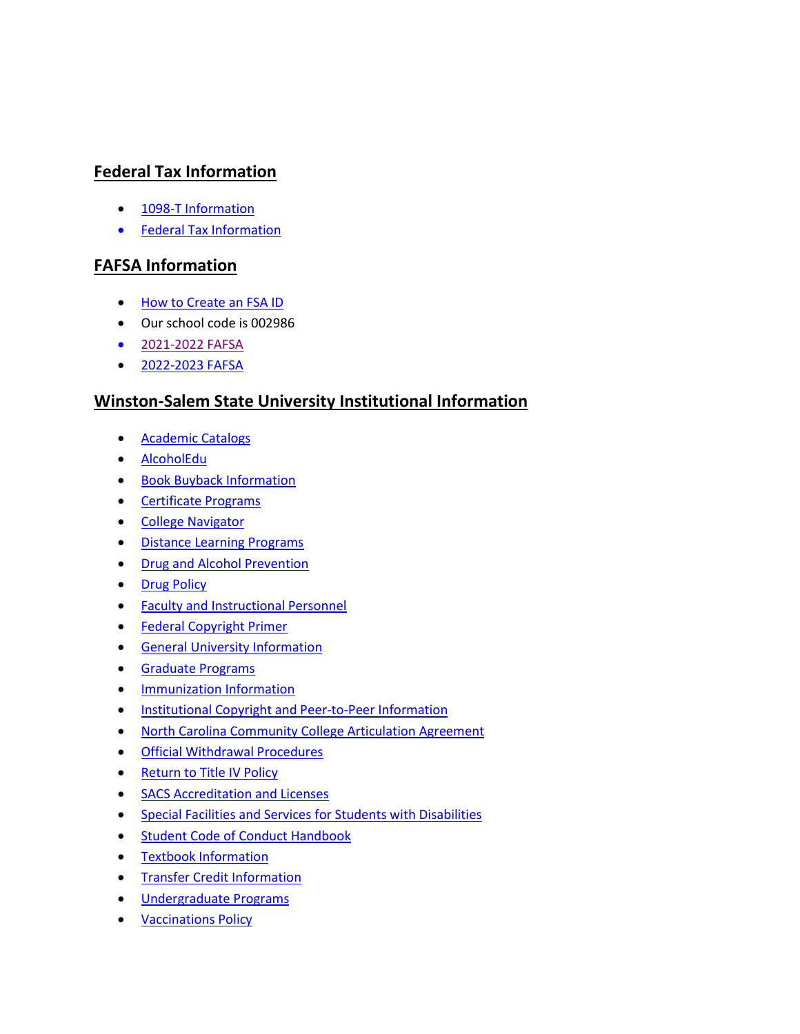# **Federal Tax Information**

- [1098-T Information](https://www.wssu.edu/about/offices-and-departments/student-accounts/tax-information-form.html)
- [Federal Tax Information](https://www.irs.gov/newsroom/tax-benefits-for-education-information-center)

# **FAFSA Information**

- [How to Create an FSA ID](https://fsaid.ed.gov/npas/index.htm)
- Our school code is 002986
- [2021-2022](https://studentaid.gov/h/apply-for-aid/fafsa) FAFSA
- [2022-2023 FAFSA](https://studentaid.gov/fafsa-app/ROLES)

### **Winston-Salem State University Institutional Information**

- [Academic Catalogs](http://catalog.wssu.edu/index.php)
- [AlcoholEdu](https://www.wssu.edu/admissions/admitted-students/everfi-critical-life-skills.html)
- [Book Buyback Information](http://wssu.bncollege.com/webapp/wcs/stores/servlet/BNCBSellBackTextbookView?catalogId=10001&langId=-1&storeId=88626)
- [Certificate Programs](http://catalog.wssu.edu/content.php?catoid=30&navoid=2719)
- [College Navigator](http://nces.ed.gov/collegenavigator/?q=winston+salem+state+university&s=all&id=199999)
- [Distance Learning Programs](https://www.wssu.edu/academics/distance-learning/index.html)
- [Drug and Alcohol Prevention](https://www.wssu.edu/student-life/university-wellness-center/counseling-services/index.html)
- [Drug Policy](https://www.wssu.edu/about/offices-and-departments/legal-affairs/policies-and-procedures/chapter-800-health-and-safety/800.8.html)
- [Faculty and Instructional Personnel](http://catalog.wssu.edu/content.php?catoid=19&navoid=1205)
- [Federal Copyright Primer](https://www.wssu.edu/about/offices-and-departments/the-office-of-information-technology/departments/information-security-compliance-services/copyright-notice.html)
- [General University Information](https://www.wssu.edu/about/points-of-pride/index.html)
- [Graduate Programs](https://www.wssu.edu/student-life/university-wellness-center/health-services/immunization-and-allergy-clinic.html)
- [Immunization Information](https://www.wssu.edu/student-life/university-wellness-center/health-services/immunization-and-allergy-clinic.html)
- [Institutional Copyright and Peer-to-Peer Information](https://www.wssu.edu/about/offices-and-departments/legal-affairs/policies-and-procedures/chapter-400-research-intellectual-property/index.html)
- [North Carolina Community College Articulation Agreement](http://www.nccommunitycolleges.edu/academic-programs/college-transferarticulation-agreements)
- [Official Withdrawal Procedures](https://www.wssu.edu/about/offices-and-departments/student-accounts/withdrawal-without-financial-penalty.html)
- Return to Title IV Policy
- [SACS Accreditation and Licenses](https://www.wssu.edu/about/accreditation.html)
- [Special Facilities and Services for Students with Disabilities](https://www.wssu.edu/about/offices-and-departments/department-of-disability-services/index.html)
- [Student Code of Conduct Handbook](https://www.wssu.edu/about/offices-and-departments/legal-affairs/policies-and-procedures/chapter-300-undergraduate-and-graduate-students/301-general/301.8.html)
- [Textbook Information](https://wssu.bncollege.com/shop/wssu/home?utm_medium=web&utm_campaign=bnctextbookrental_site&utm_source=bnctextbookrental_site&cm_mmc=Microsite-_-bnctextbookrental-_-site-_-8232)
- [Transfer Credit Information](https://www.wssu.edu/admissions/apply/transfer-applicants/transfer-credits.html)
- [Undergraduate Programs](http://catalog.wssu.edu/content.php?catoid=29&navoid=2568)
- [Vaccinations Policy](https://www.wssu.edu/about/offices-and-departments/legal-affairs/policies-and-procedures/chapter-300-undergraduate-and-graduate-students/301-general/301.6.html)